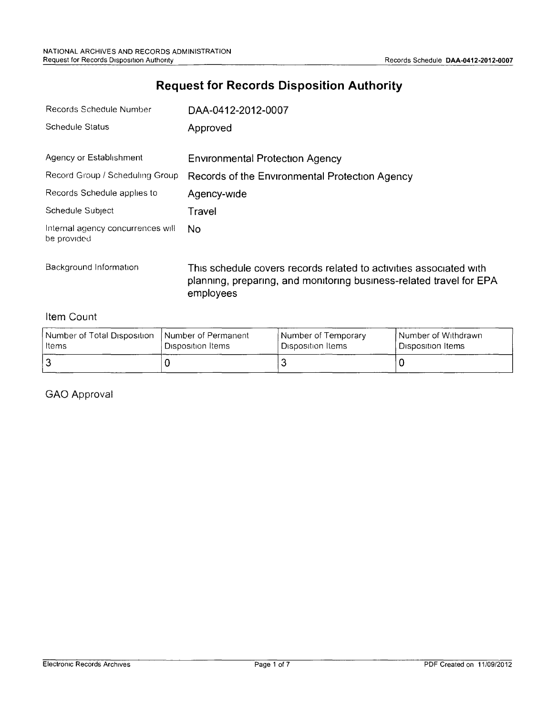## **Request for Records Disposition Authority**

| Records Schedule Number                          | DAA-0412-2012-0007                             |  |
|--------------------------------------------------|------------------------------------------------|--|
| Schedule Status                                  | Approved                                       |  |
| Agency or Establishment                          |                                                |  |
|                                                  | <b>Environmental Protection Agency</b>         |  |
| Record Group / Scheduling Group                  | Records of the Environmental Protection Agency |  |
| Records Schedule applies to                      | Agency-wide                                    |  |
| Schedule Subject                                 | Travel                                         |  |
| Internal agency concurrences will<br>be provided | No.                                            |  |

Background Information This schedule covers records related to activities associated with planning, preparing, and monitoring business-related travel for EPA employees

#### Item Count

| l Number of Total Disposition | I Number of Permanent | Number of Temporary   | I Number of Withdrawn |
|-------------------------------|-----------------------|-----------------------|-----------------------|
| Items                         | ' Disposition Items   | ! Disposition Items ⊹ | ' Disposition Items   |
|                               |                       |                       |                       |

#### GAO Approval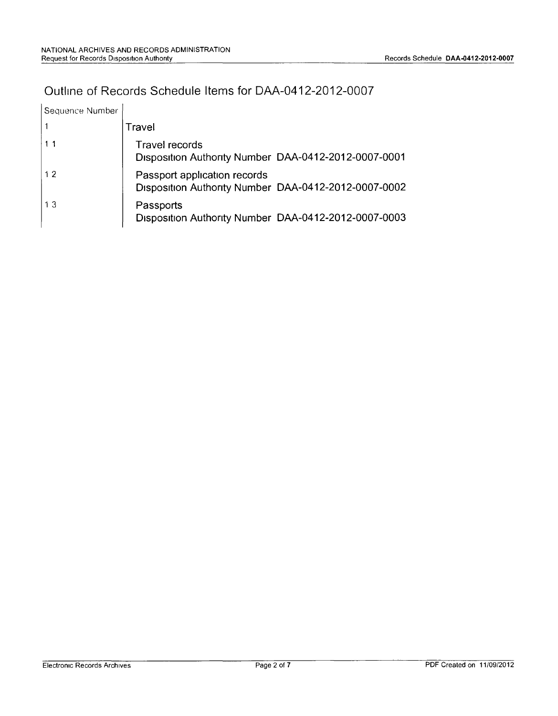## Outline of Records Schedule Items for DAA-0412-2012-0007

| Sequence Number |                                                                                      |
|-----------------|--------------------------------------------------------------------------------------|
|                 | Travel                                                                               |
|                 | Travel records<br>Disposition Authority Number DAA-0412-2012-0007-0001               |
| 12              | Passport application records<br>Disposition Authority Number DAA-0412-2012-0007-0002 |
| 13              | Passports<br>Disposition Authority Number DAA-0412-2012-0007-0003                    |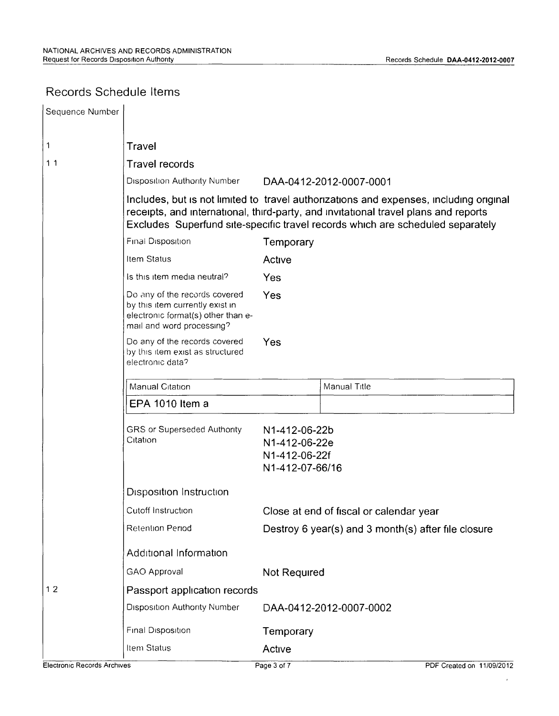### Records Schedule Items

| Sequence Number                    |                                                                                                                                     |                                                                    |                                                                                                                                                                                                                                                                 |
|------------------------------------|-------------------------------------------------------------------------------------------------------------------------------------|--------------------------------------------------------------------|-----------------------------------------------------------------------------------------------------------------------------------------------------------------------------------------------------------------------------------------------------------------|
| 1                                  | Travel                                                                                                                              |                                                                    |                                                                                                                                                                                                                                                                 |
| 11                                 | <b>Travel records</b>                                                                                                               |                                                                    |                                                                                                                                                                                                                                                                 |
|                                    | <b>Disposition Authority Number</b>                                                                                                 |                                                                    | DAA-0412-2012-0007-0001                                                                                                                                                                                                                                         |
|                                    |                                                                                                                                     |                                                                    | Includes, but is not limited to travel authorizations and expenses, including original<br>receipts, and international, third-party, and invitational travel plans and reports<br>Excludes Superfund site-specific travel records which are scheduled separately |
|                                    | Final Disposition                                                                                                                   | Temporary                                                          |                                                                                                                                                                                                                                                                 |
|                                    | Item Status                                                                                                                         | Active                                                             |                                                                                                                                                                                                                                                                 |
|                                    | Is this item media neutral?                                                                                                         | Yes                                                                |                                                                                                                                                                                                                                                                 |
|                                    | Do any of the records covered<br>by this item currently exist in<br>electronic format(s) other than e-<br>mail and word processing? | Yes                                                                |                                                                                                                                                                                                                                                                 |
|                                    | Do any of the records covered<br>by this item exist as structured<br>electronic data?                                               | Yes                                                                |                                                                                                                                                                                                                                                                 |
|                                    | Manual Citation                                                                                                                     |                                                                    | Manual Title                                                                                                                                                                                                                                                    |
|                                    | EPA 1010 Item a                                                                                                                     |                                                                    |                                                                                                                                                                                                                                                                 |
|                                    | <b>GRS or Superseded Authority</b><br>Citation                                                                                      | N1-412-06-22b<br>N1-412-06-22e<br>N1-412-06-22f<br>N1-412-07-66/16 |                                                                                                                                                                                                                                                                 |
|                                    | <b>Disposition Instruction</b>                                                                                                      |                                                                    |                                                                                                                                                                                                                                                                 |
|                                    | Cutoff Instruction<br>Close at end of fiscal or calendar year                                                                       |                                                                    |                                                                                                                                                                                                                                                                 |
|                                    | Retention Period                                                                                                                    | Destroy 6 year(s) and 3 month(s) after file closure                |                                                                                                                                                                                                                                                                 |
|                                    | Additional Information                                                                                                              |                                                                    |                                                                                                                                                                                                                                                                 |
|                                    | GAO Approval                                                                                                                        | Not Required                                                       |                                                                                                                                                                                                                                                                 |
| 12<br>Passport application records |                                                                                                                                     |                                                                    |                                                                                                                                                                                                                                                                 |
|                                    | <b>Disposition Authority Number</b>                                                                                                 |                                                                    | DAA-0412-2012-0007-0002                                                                                                                                                                                                                                         |
|                                    | Final Disposition                                                                                                                   | Temporary                                                          |                                                                                                                                                                                                                                                                 |
|                                    | Item Status                                                                                                                         | Active                                                             |                                                                                                                                                                                                                                                                 |
| Electronic Records Archives        |                                                                                                                                     | Page 3 of 7                                                        | PDF Created on 11/09/2012                                                                                                                                                                                                                                       |

 $\epsilon$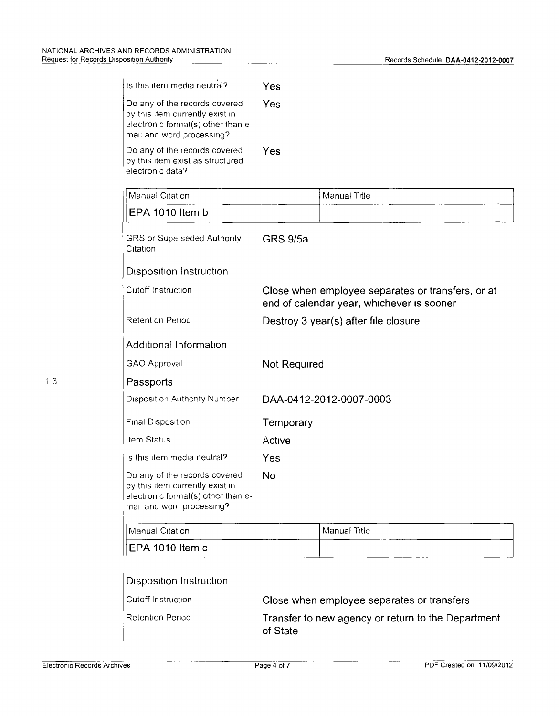| Is this item media neutral?                                                                                                         | Yes                                                                                            |              |  |
|-------------------------------------------------------------------------------------------------------------------------------------|------------------------------------------------------------------------------------------------|--------------|--|
| Do any of the records covered<br>by this item currently exist in<br>electronic format(s) other than e-<br>mail and word processing? | Yes                                                                                            |              |  |
| Do any of the records covered<br>by this item exist as structured<br>electronic data?                                               | Yes                                                                                            |              |  |
| Manual Citation                                                                                                                     |                                                                                                | Manual Title |  |
| EPA 1010 Item b                                                                                                                     |                                                                                                |              |  |
| <b>GRS or Superseded Authority</b><br>Citation                                                                                      | <b>GRS 9/5a</b>                                                                                |              |  |
| <b>Disposition Instruction</b>                                                                                                      |                                                                                                |              |  |
| Cutoff Instruction                                                                                                                  | Close when employee separates or transfers, or at<br>end of calendar year, whichever is sooner |              |  |
| Retention Period                                                                                                                    | Destroy 3 year(s) after file closure                                                           |              |  |
| Additional Information                                                                                                              |                                                                                                |              |  |
| <b>GAO Approval</b>                                                                                                                 | Not Required                                                                                   |              |  |
| Passports                                                                                                                           |                                                                                                |              |  |
| Disposition Authority Number                                                                                                        | DAA-0412-2012-0007-0003                                                                        |              |  |
| <b>Final Disposition</b>                                                                                                            | Temporary                                                                                      |              |  |
| Item Status                                                                                                                         | Active                                                                                         |              |  |
| Is this item media neutral?                                                                                                         | Yes                                                                                            |              |  |
| Do any of the records covered<br>by this item currently exist in<br>electronic format(s) other than e-<br>mail and word processing? | No                                                                                             |              |  |
| Manual Citation                                                                                                                     |                                                                                                | Manual Title |  |
| EPA 1010 Item c                                                                                                                     |                                                                                                |              |  |
|                                                                                                                                     |                                                                                                |              |  |
| <b>Disposition Instruction</b>                                                                                                      |                                                                                                |              |  |
| Cutoff Instruction                                                                                                                  | Close when employee separates or transfers                                                     |              |  |
| Retention Period                                                                                                                    | Transfer to new agency or return to the Department<br>of State                                 |              |  |

 $13$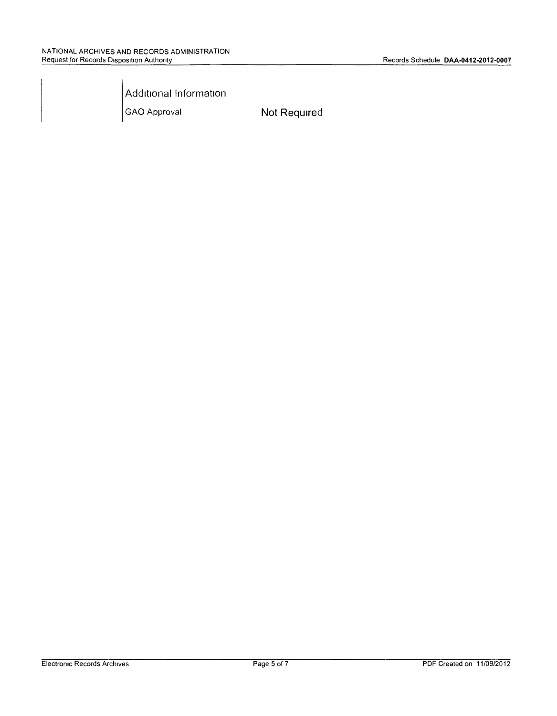Additional Information

GAO Approval **Not Required**